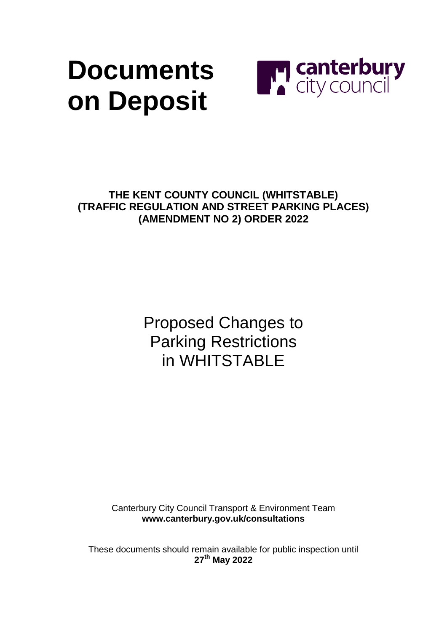# **Documents on Deposit**



**THE KENT COUNTY COUNCIL (WHITSTABLE) (TRAFFIC REGULATION AND STREET PARKING PLACES) (AMENDMENT NO 2) ORDER 2022**

> Proposed Changes to Parking Restrictions in WHITSTABLE

Canterbury City Council Transport & Environment Team **[www.canterbury.gov.uk/consultations](http://www.canterbury.gov.uk/consultations)**

These documents should remain available for public inspection until **27 th May 2022**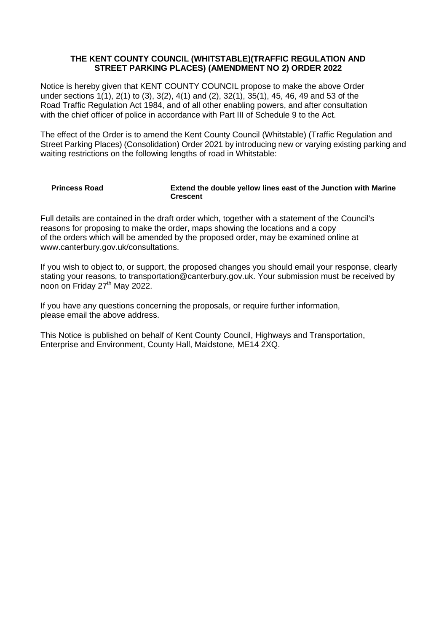#### **THE KENT COUNTY COUNCIL (WHITSTABLE)(TRAFFIC REGULATION AND STREET PARKING PLACES) (AMENDMENT NO 2) ORDER 2022**

Notice is hereby given that KENT COUNTY COUNCIL propose to make the above Order under sections 1(1), 2(1) to (3), 3(2), 4(1) and (2), 32(1), 35(1), 45, 46, 49 and 53 of the Road Traffic Regulation Act 1984, and of all other enabling powers, and after consultation with the chief officer of police in accordance with Part III of Schedule 9 to the Act.

The effect of the Order is to amend the Kent County Council (Whitstable) (Traffic Regulation and Street Parking Places) (Consolidation) Order 2021 by introducing new or varying existing parking and waiting restrictions on the following lengths of road in Whitstable:

#### **Princess Road Extend the double yellow lines east of the Junction with Marine Crescent**

Full details are contained in the draft order which, together with a statement of the Council's reasons for proposing to make the order, maps showing the locations and a copy of the orders which will be amended by the proposed order, may be examined online at www.canterbury.gov.uk/consultations.

If you wish to object to, or support, the proposed changes you should email your response, clearly stating your reasons, to transportation@canterbury.gov.uk. Your submission must be received by noon on Friday 27<sup>th</sup> May 2022.

If you have any questions concerning the proposals, or require further information, please email the above address.

This Notice is published on behalf of Kent County Council, Highways and Transportation, Enterprise and Environment, County Hall, Maidstone, ME14 2XQ.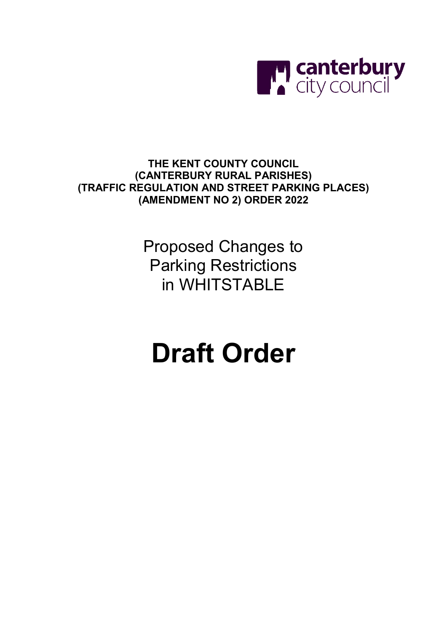

**THE KENT COUNTY COUNCIL (CANTERBURY RURAL PARISHES) (TRAFFIC REGULATION AND STREET PARKING PLACES) (AMENDMENT NO 2) ORDER 2022**

> Proposed Changes to Parking Restrictions in WHITSTABLE

# **Draft Order**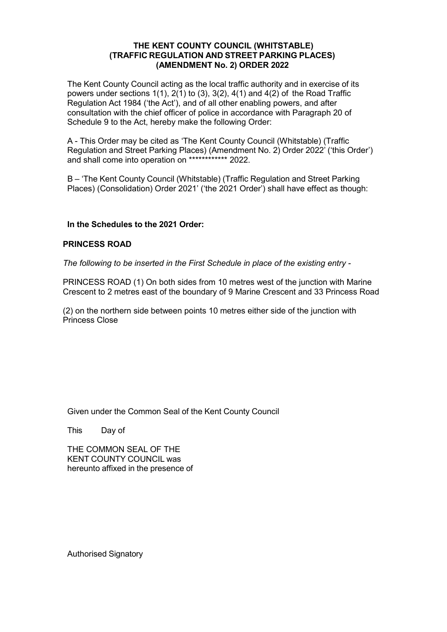### **THE KENT COUNTY COUNCIL (WHITSTABLE) (TRAFFIC REGULATION AND STREET PARKING PLACES) (AMENDMENT No. 2) ORDER 2022**

The Kent County Council acting as the local traffic authority and in exercise of its powers under sections  $1(1)$ ,  $2(1)$  to  $(3)$ ,  $3(2)$ ,  $4(1)$  and  $4(2)$  of the Road Traffic Regulation Act 1984 ('the Act'), and of all other enabling powers, and after consultation with the chief officer of police in accordance with Paragraph 20 of Schedule 9 to the Act, hereby make the following Order:

A - This Order may be cited as 'The Kent County Council (Whitstable) (Traffic Regulation and Street Parking Places) (Amendment No. 2) Order 2022' ('this Order') and shall come into operation on \*\*\*\*\*\*\*\*\*\*\*\* 2022.

B – 'The Kent County Council (Whitstable) (Traffic Regulation and Street Parking Places) (Consolidation) Order 2021' ('the 2021 Order') shall have effect as though:

### **In the Schedules to the 2021 Order:**

#### **PRINCESS ROAD**

*The following to be inserted in the First Schedule in place of the existing entry -*

PRINCESS ROAD (1) On both sides from 10 metres west of the junction with Marine Crescent to 2 metres east of the boundary of 9 Marine Crescent and 33 Princess Road

(2) on the northern side between points 10 metres either side of the junction with Princess Close

Given under the Common Seal of the Kent County Council

This Day of

THE COMMON SEAL OF THE KENT COUNTY COUNCIL was hereunto affixed in the presence of

Authorised Signatory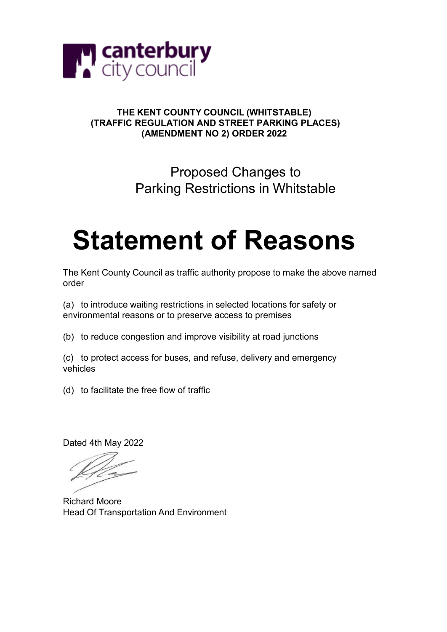

## **THE KENT COUNTY COUNCIL (WHITSTABLE) (TRAFFIC REGULATION AND STREET PARKING PLACES) (AMENDMENT NO 2) ORDER 2022**

# Proposed Changes to Parking Restrictions in Whitstable

# **Statement of Reasons**

The Kent County Council as traffic authority propose to make the above named order

(a) to introduce waiting restrictions in selected locations for safety or environmental reasons or to preserve access to premises

(b) to reduce congestion and improve visibility at road junctions

(c) to protect access for buses, and refuse, delivery and emergency vehicles

(d) to facilitate the free flow of traffic

Dated 4th May 2022

Richard Moore Head Of Transportation And Environment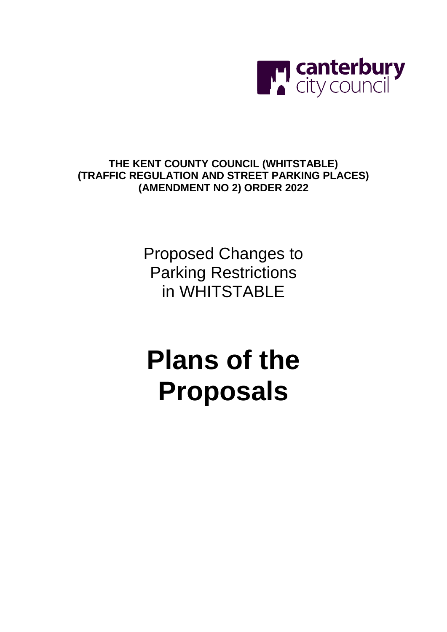

# **THE KENT COUNTY COUNCIL (WHITSTABLE) (TRAFFIC REGULATION AND STREET PARKING PLACES) (AMENDMENT NO 2) ORDER 2022**

Proposed Changes to Parking Restrictions in WHITSTABLE

# **Plans of the Proposals**